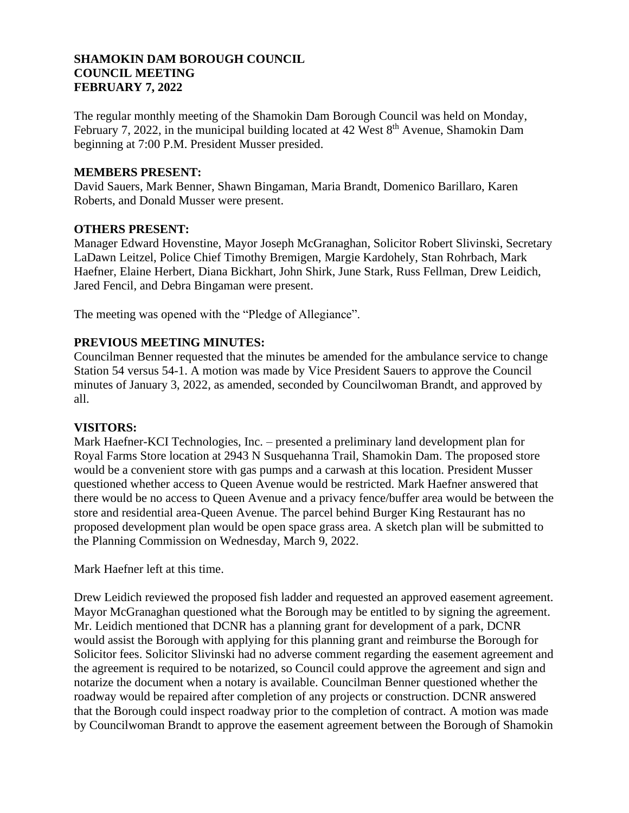### **SHAMOKIN DAM BOROUGH COUNCIL COUNCIL MEETING FEBRUARY 7, 2022**

The regular monthly meeting of the Shamokin Dam Borough Council was held on Monday, February 7, 2022, in the municipal building located at  $42$  West  $8<sup>th</sup>$  Avenue, Shamokin Dam beginning at 7:00 P.M. President Musser presided.

### **MEMBERS PRESENT:**

David Sauers, Mark Benner, Shawn Bingaman, Maria Brandt, Domenico Barillaro, Karen Roberts, and Donald Musser were present.

### **OTHERS PRESENT:**

Manager Edward Hovenstine, Mayor Joseph McGranaghan, Solicitor Robert Slivinski, Secretary LaDawn Leitzel, Police Chief Timothy Bremigen, Margie Kardohely, Stan Rohrbach, Mark Haefner, Elaine Herbert, Diana Bickhart, John Shirk, June Stark, Russ Fellman, Drew Leidich, Jared Fencil, and Debra Bingaman were present.

The meeting was opened with the "Pledge of Allegiance".

# **PREVIOUS MEETING MINUTES:**

Councilman Benner requested that the minutes be amended for the ambulance service to change Station 54 versus 54-1. A motion was made by Vice President Sauers to approve the Council minutes of January 3, 2022, as amended, seconded by Councilwoman Brandt, and approved by all.

#### **VISITORS:**

Mark Haefner-KCI Technologies, Inc. – presented a preliminary land development plan for Royal Farms Store location at 2943 N Susquehanna Trail, Shamokin Dam. The proposed store would be a convenient store with gas pumps and a carwash at this location. President Musser questioned whether access to Queen Avenue would be restricted. Mark Haefner answered that there would be no access to Queen Avenue and a privacy fence/buffer area would be between the store and residential area-Queen Avenue. The parcel behind Burger King Restaurant has no proposed development plan would be open space grass area. A sketch plan will be submitted to the Planning Commission on Wednesday, March 9, 2022.

Mark Haefner left at this time.

Drew Leidich reviewed the proposed fish ladder and requested an approved easement agreement. Mayor McGranaghan questioned what the Borough may be entitled to by signing the agreement. Mr. Leidich mentioned that DCNR has a planning grant for development of a park, DCNR would assist the Borough with applying for this planning grant and reimburse the Borough for Solicitor fees. Solicitor Slivinski had no adverse comment regarding the easement agreement and the agreement is required to be notarized, so Council could approve the agreement and sign and notarize the document when a notary is available. Councilman Benner questioned whether the roadway would be repaired after completion of any projects or construction. DCNR answered that the Borough could inspect roadway prior to the completion of contract. A motion was made by Councilwoman Brandt to approve the easement agreement between the Borough of Shamokin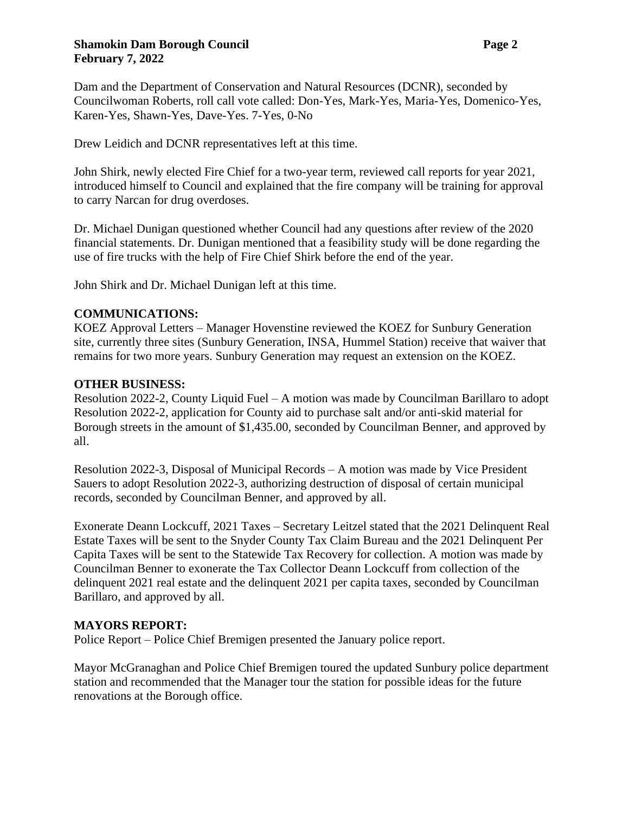### **Shamokin Dam Borough Council Page 2 February 7, 2022**

Dam and the Department of Conservation and Natural Resources (DCNR), seconded by Councilwoman Roberts, roll call vote called: Don-Yes, Mark-Yes, Maria-Yes, Domenico-Yes, Karen-Yes, Shawn-Yes, Dave-Yes. 7-Yes, 0-No

Drew Leidich and DCNR representatives left at this time.

John Shirk, newly elected Fire Chief for a two-year term, reviewed call reports for year 2021, introduced himself to Council and explained that the fire company will be training for approval to carry Narcan for drug overdoses.

Dr. Michael Dunigan questioned whether Council had any questions after review of the 2020 financial statements. Dr. Dunigan mentioned that a feasibility study will be done regarding the use of fire trucks with the help of Fire Chief Shirk before the end of the year.

John Shirk and Dr. Michael Dunigan left at this time.

# **COMMUNICATIONS:**

KOEZ Approval Letters – Manager Hovenstine reviewed the KOEZ for Sunbury Generation site, currently three sites (Sunbury Generation, INSA, Hummel Station) receive that waiver that remains for two more years. Sunbury Generation may request an extension on the KOEZ.

# **OTHER BUSINESS:**

Resolution 2022-2, County Liquid Fuel – A motion was made by Councilman Barillaro to adopt Resolution 2022-2, application for County aid to purchase salt and/or anti-skid material for Borough streets in the amount of \$1,435.00, seconded by Councilman Benner, and approved by all.

Resolution 2022-3, Disposal of Municipal Records – A motion was made by Vice President Sauers to adopt Resolution 2022-3, authorizing destruction of disposal of certain municipal records, seconded by Councilman Benner, and approved by all.

Exonerate Deann Lockcuff, 2021 Taxes – Secretary Leitzel stated that the 2021 Delinquent Real Estate Taxes will be sent to the Snyder County Tax Claim Bureau and the 2021 Delinquent Per Capita Taxes will be sent to the Statewide Tax Recovery for collection. A motion was made by Councilman Benner to exonerate the Tax Collector Deann Lockcuff from collection of the delinquent 2021 real estate and the delinquent 2021 per capita taxes, seconded by Councilman Barillaro, and approved by all.

# **MAYORS REPORT:**

Police Report – Police Chief Bremigen presented the January police report.

Mayor McGranaghan and Police Chief Bremigen toured the updated Sunbury police department station and recommended that the Manager tour the station for possible ideas for the future renovations at the Borough office.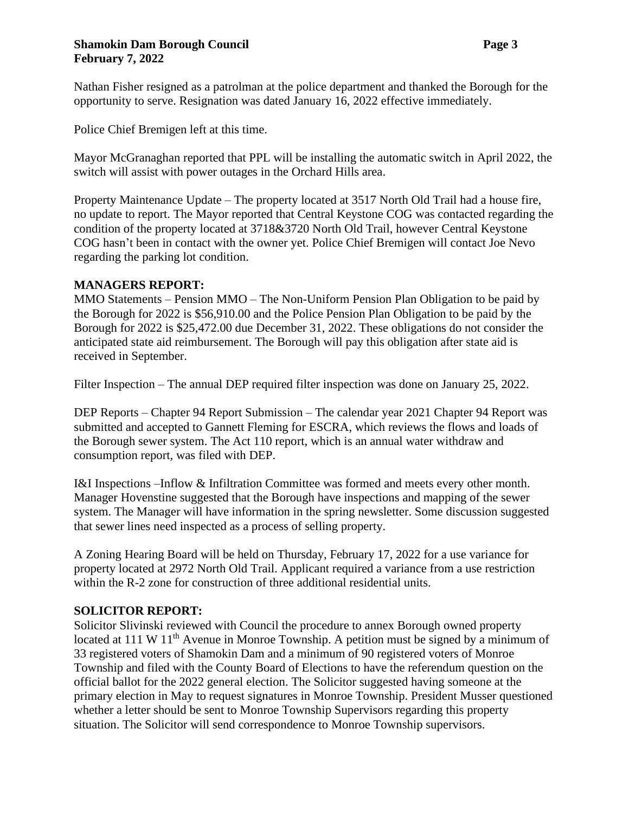### **Shamokin Dam Borough Council Page 3 February 7, 2022**

Nathan Fisher resigned as a patrolman at the police department and thanked the Borough for the opportunity to serve. Resignation was dated January 16, 2022 effective immediately.

Police Chief Bremigen left at this time.

Mayor McGranaghan reported that PPL will be installing the automatic switch in April 2022, the switch will assist with power outages in the Orchard Hills area.

Property Maintenance Update – The property located at 3517 North Old Trail had a house fire, no update to report. The Mayor reported that Central Keystone COG was contacted regarding the condition of the property located at 3718&3720 North Old Trail, however Central Keystone COG hasn't been in contact with the owner yet. Police Chief Bremigen will contact Joe Nevo regarding the parking lot condition.

# **MANAGERS REPORT:**

MMO Statements – Pension MMO – The Non-Uniform Pension Plan Obligation to be paid by the Borough for 2022 is \$56,910.00 and the Police Pension Plan Obligation to be paid by the Borough for 2022 is \$25,472.00 due December 31, 2022. These obligations do not consider the anticipated state aid reimbursement. The Borough will pay this obligation after state aid is received in September.

Filter Inspection – The annual DEP required filter inspection was done on January 25, 2022.

DEP Reports – Chapter 94 Report Submission – The calendar year 2021 Chapter 94 Report was submitted and accepted to Gannett Fleming for ESCRA, which reviews the flows and loads of the Borough sewer system. The Act 110 report, which is an annual water withdraw and consumption report, was filed with DEP.

I&I Inspections –Inflow & Infiltration Committee was formed and meets every other month. Manager Hovenstine suggested that the Borough have inspections and mapping of the sewer system. The Manager will have information in the spring newsletter. Some discussion suggested that sewer lines need inspected as a process of selling property.

A Zoning Hearing Board will be held on Thursday, February 17, 2022 for a use variance for property located at 2972 North Old Trail. Applicant required a variance from a use restriction within the R-2 zone for construction of three additional residential units.

# **SOLICITOR REPORT:**

Solicitor Slivinski reviewed with Council the procedure to annex Borough owned property located at 111 W  $11<sup>th</sup>$  Avenue in Monroe Township. A petition must be signed by a minimum of 33 registered voters of Shamokin Dam and a minimum of 90 registered voters of Monroe Township and filed with the County Board of Elections to have the referendum question on the official ballot for the 2022 general election. The Solicitor suggested having someone at the primary election in May to request signatures in Monroe Township. President Musser questioned whether a letter should be sent to Monroe Township Supervisors regarding this property situation. The Solicitor will send correspondence to Monroe Township supervisors.